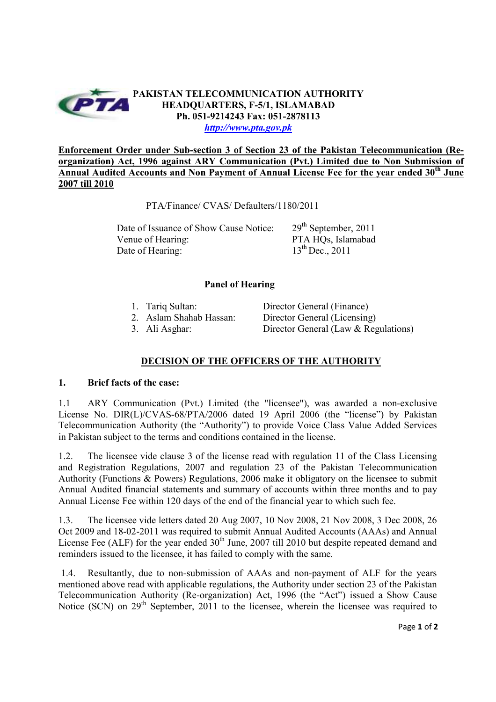

**Enforcement Order under Sub-section 3 of Section 23 of the Pakistan Telecommunication (Reorganization) Act, 1996 against ARY Communication (Pvt.) Limited due to Non Submission of Annual Audited Accounts and Non Payment of Annual License Fee for the year ended 30th June 2007 till 2010**

PTA/Finance/ CVAS/ Defaulters/1180/2011

Date of Issuance of Show Cause Notice: 29<sup>th</sup> September, 2011 Venue of Hearing:<br>
Date of Hearing:<br>
13<sup>th</sup> Dec., 2011 Date of Hearing:

## **Panel of Hearing**

| 1. Tariq Sultan:        | Director General (Finance)             |
|-------------------------|----------------------------------------|
| 2. Aslam Shahab Hassan: | Director General (Licensing)           |
| 3. Ali Asghar:          | Director General (Law $&$ Regulations) |

## **DECISION OF THE OFFICERS OF THE AUTHORITY**

## **1. Brief facts of the case:**

1.1 ARY Communication (Pvt.) Limited (the "licensee"), was awarded a non-exclusive License No. DIR(L)/CVAS-68/PTA/2006 dated 19 April 2006 (the "license") by Pakistan Telecommunication Authority (the "Authority") to provide Voice Class Value Added Services in Pakistan subject to the terms and conditions contained in the license.

1.2. The licensee vide clause 3 of the license read with regulation 11 of the Class Licensing and Registration Regulations, 2007 and regulation 23 of the Pakistan Telecommunication Authority (Functions & Powers) Regulations, 2006 make it obligatory on the licensee to submit Annual Audited financial statements and summary of accounts within three months and to pay Annual License Fee within 120 days of the end of the financial year to which such fee.

1.3. The licensee vide letters dated 20 Aug 2007, 10 Nov 2008, 21 Nov 2008, 3 Dec 2008, 26 Oct 2009 and 18-02-2011 was required to submit Annual Audited Accounts (AAAs) and Annual License Fee (ALF) for the year ended  $30<sup>th</sup>$  June, 2007 till 2010 but despite repeated demand and reminders issued to the licensee, it has failed to comply with the same.

 1.4. Resultantly, due to non-submission of AAAs and non-payment of ALF for the years mentioned above read with applicable regulations, the Authority under section 23 of the Pakistan Telecommunication Authority (Re-organization) Act, 1996 (the "Act") issued a Show Cause Notice (SCN) on 29<sup>th</sup> September, 2011 to the licensee, wherein the licensee was required to